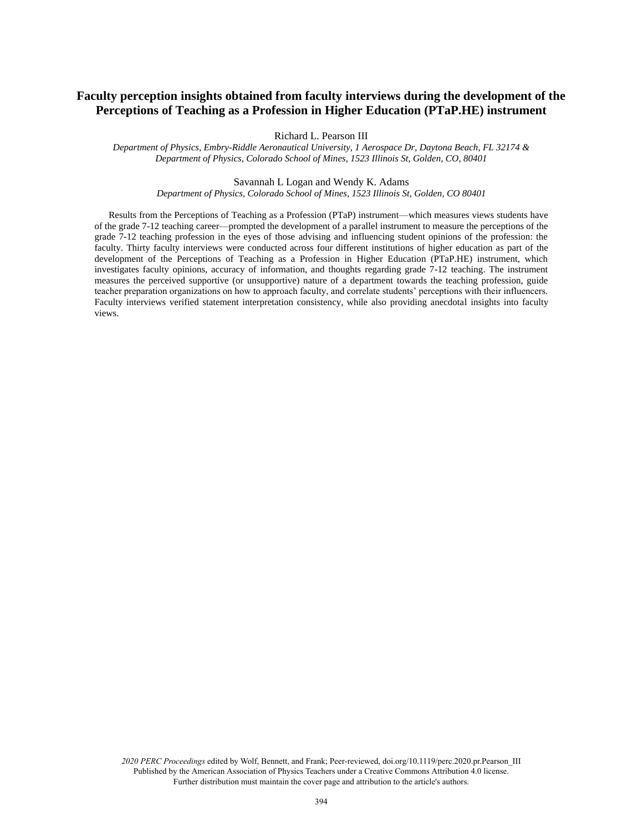# **Faculty perception insights obtained from faculty interviews during the development of the Perceptions of Teaching as a Profession in Higher Education (PTaP.HE) instrument**

Richard L. Pearson III

*Department of Physics, Embry-Riddle Aeronautical University, 1 Aerospace Dr, Daytona Beach, FL 32174 & Department of Physics, Colorado School of Mines, 1523 Illinois St, Golden, CO, 80401*

#### Savannah L Logan and Wendy K. Adams

*Department of Physics, Colorado School of Mines, 1523 Illinois St, Golden, CO 80401*

Results from the Perceptions of Teaching as a Profession (PTaP) instrument—which measures views students have of the grade 7-12 teaching career—prompted the development of a parallel instrument to measure the perceptions of the grade 7-12 teaching profession in the eyes of those advising and influencing student opinions of the profession: the faculty. Thirty faculty interviews were conducted across four different institutions of higher education as part of the development of the Perceptions of Teaching as a Profession in Higher Education (PTaP.HE) instrument, which investigates faculty opinions, accuracy of information, and thoughts regarding grade 7-12 teaching. The instrument measures the perceived supportive (or unsupportive) nature of a department towards the teaching profession, guide teacher preparation organizations on how to approach faculty, and correlate students' perceptions with their influencers. Faculty interviews verified statement interpretation consistency, while also providing anecdotal insights into faculty views.

*2020 PERC Proceedings* edited by Wolf, Bennett, and Frank; Peer-reviewed, doi.org/10.1119/perc.2020.pr.Pearson\_III Published by the American Association of Physics Teachers under a Creative Commons Attribution 4.0 license. Further distribution must maintain the cover page and attribution to the article's authors.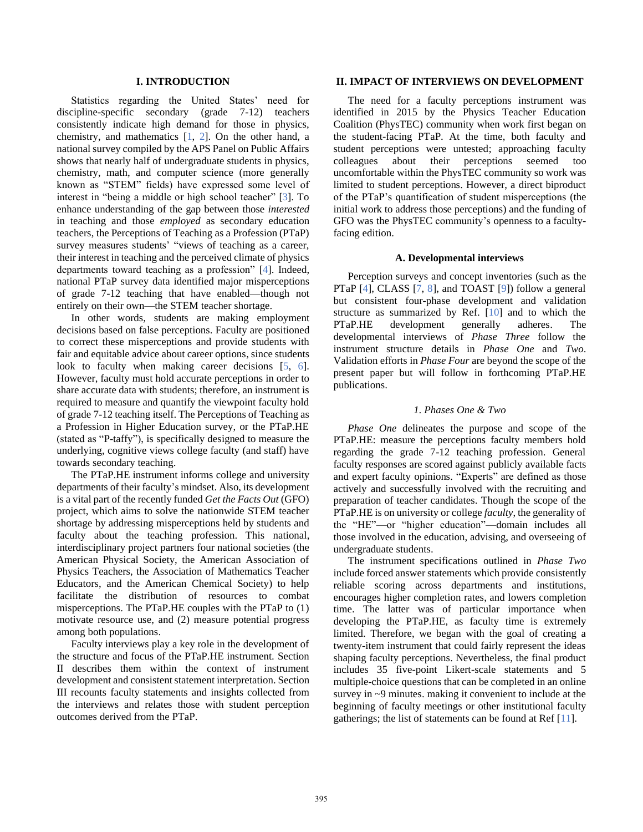# **I. INTRODUCTION**

Statistics regarding the United States' need for discipline-specific secondary (grade 7-12) teachers consistently indicate high demand for those in physics, chemistry, and mathematics [\[1,](#page--1-0) [2\]](#page--1-1). On the other hand, a national survey compiled by the APS Panel on Public Affairs shows that nearly half of undergraduate students in physics, chemistry, math, and computer science (more generally known as "STEM" fields) have expressed some level of interest in "being a middle or high school teacher" [\[3\]](#page--1-2). To enhance understanding of the gap between those *interested* in teaching and those *employed* as secondary education teachers, the Perceptions of Teaching as a Profession (PTaP) survey measures students' "views of teaching as a career, their interest in teaching and the perceived climate of physics departments toward teaching as a profession" [\[4\]](#page--1-3). Indeed, national PTaP survey data identified major misperceptions of grade 7-12 teaching that have enabled—though not entirely on their own—the STEM teacher shortage.

In other words, students are making employment decisions based on false perceptions. Faculty are positioned to correct these misperceptions and provide students with fair and equitable advice about career options, since students look to faculty when making career decisions [\[5,](#page--1-4) [6\]](#page--1-5). However, faculty must hold accurate perceptions in order to share accurate data with students; therefore, an instrument is required to measure and quantify the viewpoint faculty hold of grade 7-12 teaching itself. The Perceptions of Teaching as a Profession in Higher Education survey, or the PTaP.HE (stated as "P-taffy"), is specifically designed to measure the underlying, cognitive views college faculty (and staff) have towards secondary teaching.

The PTaP.HE instrument informs college and university departments of their faculty's mindset. Also, its development is a vital part of the recently funded *Get the Facts Out* (GFO) project, which aims to solve the nationwide STEM teacher shortage by addressing misperceptions held by students and faculty about the teaching profession. This national, interdisciplinary project partners four national societies (the American Physical Society, the American Association of Physics Teachers, the Association of Mathematics Teacher Educators, and the American Chemical Society) to help facilitate the distribution of resources to combat misperceptions. The PTaP.HE couples with the PTaP to (1) motivate resource use, and (2) measure potential progress among both populations.

Faculty interviews play a key role in the development of the structure and focus of the PTaP.HE instrument. Section II describes them within the context of instrument development and consistent statement interpretation. Section III recounts faculty statements and insights collected from the interviews and relates those with student perception outcomes derived from the PTaP.

# **II. IMPACT OF INTERVIEWS ON DEVELOPMENT**

The need for a faculty perceptions instrument was identified in 2015 by the Physics Teacher Education Coalition (PhysTEC) community when work first began on the student-facing PTaP. At the time, both faculty and student perceptions were untested; approaching faculty colleagues about their perceptions seemed too uncomfortable within the PhysTEC community so work was limited to student perceptions. However, a direct biproduct of the PTaP's quantification of student misperceptions (the initial work to address those perceptions) and the funding of GFO was the PhysTEC community's openness to a facultyfacing edition.

#### **A. Developmental interviews**

Perception surveys and concept inventories (such as the PTaP [\[4\]](#page--1-3), CLASS [\[7,](#page--1-6) [8\]](#page--1-7), and TOAST [\[9\]](#page--1-8)) follow a general but consistent four-phase development and validation structure as summarized by Ref. [\[10\]](#page--1-9) and to which the PTaP.HE development generally adheres. The developmental interviews of *Phase Three* follow the instrument structure details in *Phase One* and *Two*. Validation efforts in *Phase Four* are beyond the scope of the present paper but will follow in forthcoming PTaP.HE publications.

### *1. Phases One & Two*

*Phase One* delineates the purpose and scope of the PTaP.HE: measure the perceptions faculty members hold regarding the grade 7-12 teaching profession. General faculty responses are scored against publicly available facts and expert faculty opinions. "Experts" are defined as those actively and successfully involved with the recruiting and preparation of teacher candidates. Though the scope of the PTaP.HE is on university or college *faculty*, the generality of the "HE"—or "higher education"—domain includes all those involved in the education, advising, and overseeing of undergraduate students.

The instrument specifications outlined in *Phase Two* include forced answer statements which provide consistently reliable scoring across departments and institutions, encourages higher completion rates, and lowers completion time. The latter was of particular importance when developing the PTaP.HE, as faculty time is extremely limited. Therefore, we began with the goal of creating a twenty-item instrument that could fairly represent the ideas shaping faculty perceptions. Nevertheless, the final product includes 35 five-point Likert-scale statements and 5 multiple-choice questions that can be completed in an online survey in ~9 minutes. making it convenient to include at the beginning of faculty meetings or other institutional faculty gatherings; the list of statements can be found at Ref [\[11\]](#page--1-10).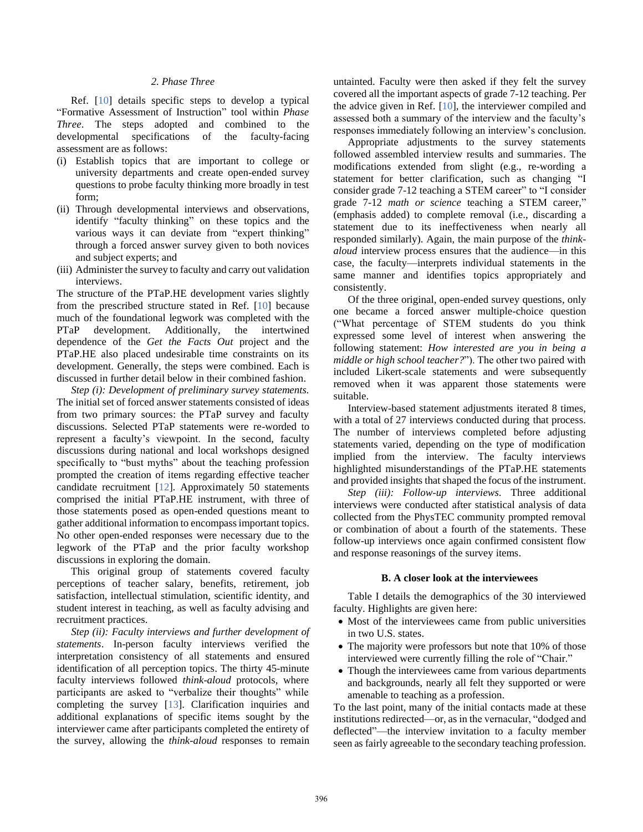# *2. Phase Three*

Ref. [\[10\]](#page--1-9) details specific steps to develop a typical "Formative Assessment of Instruction" tool within *Phase Three*. The steps adopted and combined to the developmental specifications of the faculty-facing assessment are as follows:

- (i) Establish topics that are important to college or university departments and create open-ended survey questions to probe faculty thinking more broadly in test form;
- (ii) Through developmental interviews and observations, identify "faculty thinking" on these topics and the various ways it can deviate from "expert thinking" through a forced answer survey given to both novices and subject experts; and
- (iii) Administer the survey to faculty and carry out validation interviews.

The structure of the PTaP.HE development varies slightly from the prescribed structure stated in Ref. [\[10\]](#page--1-9) because much of the foundational legwork was completed with the PTaP development. Additionally, the intertwined dependence of the *Get the Facts Out* project and the PTaP.HE also placed undesirable time constraints on its development. Generally, the steps were combined. Each is discussed in further detail below in their combined fashion.

*Step (i): Development of preliminary survey statements.*  The initial set of forced answer statements consisted of ideas from two primary sources: the PTaP survey and faculty discussions. Selected PTaP statements were re-worded to represent a faculty's viewpoint. In the second, faculty discussions during national and local workshops designed specifically to "bust myths" about the teaching profession prompted the creation of items regarding effective teacher candidate recruitment [\[12\]](#page--1-11). Approximately 50 statements comprised the initial PTaP.HE instrument, with three of those statements posed as open-ended questions meant to gather additional information to encompass important topics. No other open-ended responses were necessary due to the legwork of the PTaP and the prior faculty workshop discussions in exploring the domain.

This original group of statements covered faculty perceptions of teacher salary, benefits, retirement, job satisfaction, intellectual stimulation, scientific identity, and student interest in teaching, as well as faculty advising and recruitment practices.

*Step (ii): Faculty interviews and further development of statements*. In-person faculty interviews verified the interpretation consistency of all statements and ensured identification of all perception topics. The thirty 45-minute faculty interviews followed *think-aloud* protocols, where participants are asked to "verbalize their thoughts" while completing the survey [\[13\]](#page--1-12). Clarification inquiries and additional explanations of specific items sought by the interviewer came after participants completed the entirety of the survey, allowing the *think-aloud* responses to remain

untainted. Faculty were then asked if they felt the survey covered all the important aspects of grade 7-12 teaching. Per the advice given in Ref. [\[10\]](#page--1-9), the interviewer compiled and assessed both a summary of the interview and the faculty's responses immediately following an interview's conclusion.

Appropriate adjustments to the survey statements followed assembled interview results and summaries. The modifications extended from slight (e.g., re-wording a statement for better clarification, such as changing "I consider grade 7-12 teaching a STEM career" to "I consider grade 7-12 *math or science* teaching a STEM career," (emphasis added) to complete removal (i.e., discarding a statement due to its ineffectiveness when nearly all responded similarly). Again, the main purpose of the *thinkaloud* interview process ensures that the audience—in this case, the faculty—interprets individual statements in the same manner and identifies topics appropriately and consistently.

Of the three original, open-ended survey questions, only one became a forced answer multiple-choice question ("What percentage of STEM students do you think expressed some level of interest when answering the following statement: *How interested are you in being a middle or high school teacher?*"). The other two paired with included Likert-scale statements and were subsequently removed when it was apparent those statements were suitable.

Interview-based statement adjustments iterated 8 times, with a total of 27 interviews conducted during that process. The number of interviews completed before adjusting statements varied, depending on the type of modification implied from the interview. The faculty interviews highlighted misunderstandings of the PTaP.HE statements and provided insights that shaped the focus of the instrument.

*Step (iii): Follow-up interviews.* Three additional interviews were conducted after statistical analysis of data collected from the PhysTEC community prompted removal or combination of about a fourth of the statements. These follow-up interviews once again confirmed consistent flow and response reasonings of the survey items.

# **B. A closer look at the interviewees**

Table I details the demographics of the 30 interviewed faculty. Highlights are given here:

- Most of the interviewees came from public universities in two U.S. states.
- The majority were professors but note that 10% of those interviewed were currently filling the role of "Chair."
- Though the interviewees came from various departments and backgrounds, nearly all felt they supported or were amenable to teaching as a profession.

To the last point, many of the initial contacts made at these institutions redirected—or, as in the vernacular, "dodged and deflected"—the interview invitation to a faculty member seen as fairly agreeable to the secondary teaching profession.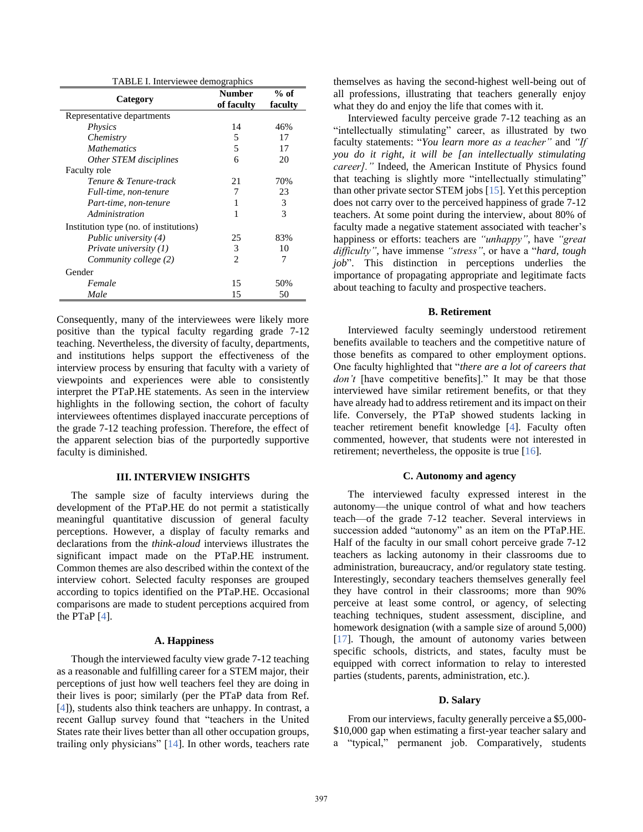| TABLE I. Interviewee demographics |  |  |  |  |
|-----------------------------------|--|--|--|--|
|-----------------------------------|--|--|--|--|

|                                        | <b>Number</b>  | $%$ of  |
|----------------------------------------|----------------|---------|
| Category                               | of faculty     | faculty |
| Representative departments             |                |         |
| <i>Physics</i>                         | 14             | 46%     |
| Chemistry                              | 5              | 17      |
| <b>Mathematics</b>                     | 5              | 17      |
| Other STEM disciplines                 | 6              | 20      |
| Faculty role                           |                |         |
| Tenure & Tenure-track                  | 21             | 70%     |
| Full-time, non-tenure                  | 7              | 23      |
| Part-time, non-tenure                  | 1              | 3       |
| Administration                         | 1              | 3       |
| Institution type (no. of institutions) |                |         |
| Public university (4)                  | 25             | 83%     |
| Private university $(1)$               | 3              | 10      |
| Community college (2)                  | $\mathfrak{D}$ | 7       |
| Gender                                 |                |         |
| Female                                 | 15             | 50%     |
| Male                                   | 15             | 50      |

Consequently, many of the interviewees were likely more positive than the typical faculty regarding grade 7-12 teaching. Nevertheless, the diversity of faculty, departments, and institutions helps support the effectiveness of the interview process by ensuring that faculty with a variety of viewpoints and experiences were able to consistently interpret the PTaP.HE statements. As seen in the interview highlights in the following section, the cohort of faculty interviewees oftentimes displayed inaccurate perceptions of the grade 7-12 teaching profession. Therefore, the effect of the apparent selection bias of the purportedly supportive faculty is diminished.

### **III. INTERVIEW INSIGHTS**

The sample size of faculty interviews during the development of the PTaP.HE do not permit a statistically meaningful quantitative discussion of general faculty perceptions. However, a display of faculty remarks and declarations from the *think-aloud* interviews illustrates the significant impact made on the PTaP.HE instrument. Common themes are also described within the context of the interview cohort. Selected faculty responses are grouped according to topics identified on the PTaP.HE. Occasional comparisons are made to student perceptions acquired from the PTaP [\[4\]](#page--1-3).

# **A. Happiness**

Though the interviewed faculty view grade 7-12 teaching as a reasonable and fulfilling career for a STEM major, their perceptions of just how well teachers feel they are doing in their lives is poor; similarly (per the PTaP data from Ref. [\[4\]](#page--1-3)), students also think teachers are unhappy. In contrast, a recent Gallup survey found that "teachers in the United States rate their lives better than all other occupation groups, trailing only physicians" [\[14\]](#page--1-13). In other words, teachers rate themselves as having the second-highest well-being out of all professions, illustrating that teachers generally enjoy what they do and enjoy the life that comes with it.

Interviewed faculty perceive grade 7-12 teaching as an "intellectually stimulating" career, as illustrated by two faculty statements: "*You learn more as a teacher"* and *"If you do it right, it will be [an intellectually stimulating career]."* Indeed, the American Institute of Physics found that teaching is slightly more "intellectually stimulating" than other private sector STEM jobs [\[15\]](#page--1-14). Yet this perception does not carry over to the perceived happiness of grade 7-12 teachers. At some point during the interview, about 80% of faculty made a negative statement associated with teacher's happiness or efforts: teachers are *"unhappy"*, have *"great difficulty"*, have immense *"stress"*, or have a "*hard, tough job*". This distinction in perceptions underlies the importance of propagating appropriate and legitimate facts about teaching to faculty and prospective teachers.

## **B. Retirement**

Interviewed faculty seemingly understood retirement benefits available to teachers and the competitive nature of those benefits as compared to other employment options. One faculty highlighted that "*there are a lot of careers that*  don't [have competitive benefits]." It may be that those interviewed have similar retirement benefits, or that they have already had to address retirement and its impact on their life. Conversely, the PTaP showed students lacking in teacher retirement benefit knowledge [\[4\]](#page--1-3). Faculty often commented, however, that students were not interested in retirement; nevertheless, the opposite is true [\[16\]](#page--1-15).

### **C. Autonomy and agency**

The interviewed faculty expressed interest in the autonomy—the unique control of what and how teachers teach—of the grade 7-12 teacher. Several interviews in succession added "autonomy" as an item on the PTaP.HE. Half of the faculty in our small cohort perceive grade 7-12 teachers as lacking autonomy in their classrooms due to administration, bureaucracy, and/or regulatory state testing. Interestingly, secondary teachers themselves generally feel they have control in their classrooms; more than 90% perceive at least some control, or agency, of selecting teaching techniques, student assessment, discipline, and homework designation (with a sample size of around 5,000) [\[17\]](#page--1-16). Though, the amount of autonomy varies between specific schools, districts, and states, faculty must be equipped with correct information to relay to interested parties (students, parents, administration, etc.).

#### **D. Salary**

From our interviews, faculty generally perceive a \$5,000- \$10,000 gap when estimating a first-year teacher salary and a "typical," permanent job. Comparatively, students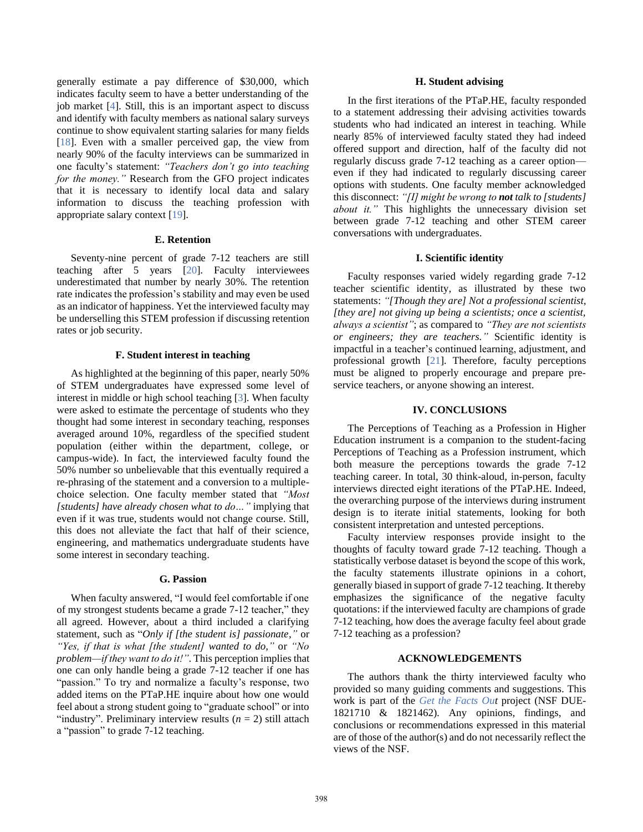generally estimate a pay difference of \$30,000, which indicates faculty seem to have a better understanding of the job market [\[4\]](#page--1-3). Still, this is an important aspect to discuss and identify with faculty members as national salary surveys continue to show equivalent starting salaries for many fields [\[18\]](#page--1-17). Even with a smaller perceived gap, the view from nearly 90% of the faculty interviews can be summarized in one faculty's statement: *"Teachers don't go into teaching for the money."* Research from the GFO project indicates that it is necessary to identify local data and salary information to discuss the teaching profession with appropriate salary context [\[19\]](#page--1-18).

#### **E. Retention**

Seventy-nine percent of grade 7-12 teachers are still teaching after 5 years [20]. Faculty interviewees underestimated that number by nearly 30%. The retention rate indicates the profession's stability and may even be used as an indicator of happiness. Yet the interviewed faculty may be underselling this STEM profession if discussing retention rates or job security.

#### **F. Student interest in teaching**

As highlighted at the beginning of this paper, nearly 50% of STEM undergraduates have expressed some level of interest in middle or high school teaching [\[3\]](#page--1-2). When faculty were asked to estimate the percentage of students who they thought had some interest in secondary teaching, responses averaged around 10%, regardless of the specified student population (either within the department, college, or campus-wide). In fact, the interviewed faculty found the 50% number so unbelievable that this eventually required a re-phrasing of the statement and a conversion to a multiplechoice selection. One faculty member stated that *"Most [students] have already chosen what to do…"* implying that even if it was true, students would not change course. Still, this does not alleviate the fact that half of their science, engineering, and mathematics undergraduate students have some interest in secondary teaching.

#### **G. Passion**

When faculty answered, "I would feel comfortable if one of my strongest students became a grade 7-12 teacher," they all agreed. However, about a third included a clarifying statement, such as "*Only if [the student is] passionate,"* or *"Yes, if that is what [the student] wanted to do,"* or *"No problem—if they want to do it!"*. This perception implies that one can only handle being a grade 7-12 teacher if one has "passion." To try and normalize a faculty's response, two added items on the PTaP.HE inquire about how one would feel about a strong student going to "graduate school" or into "industry". Preliminary interview results  $(n = 2)$  still attach a "passion" to grade 7-12 teaching.

### **H. Student advising**

In the first iterations of the PTaP.HE, faculty responded to a statement addressing their advising activities towards students who had indicated an interest in teaching. While nearly 85% of interviewed faculty stated they had indeed offered support and direction, half of the faculty did not regularly discuss grade 7-12 teaching as a career option even if they had indicated to regularly discussing career options with students. One faculty member acknowledged this disconnect: *"[I] might be wrong to not talk to [students] about it."* This highlights the unnecessary division set between grade 7-12 teaching and other STEM career conversations with undergraduates.

#### **I. Scientific identity**

Faculty responses varied widely regarding grade 7-12 teacher scientific identity, as illustrated by these two statements: *"[Though they are] Not a professional scientist, [they are] not giving up being a scientists; once a scientist, always a scientist"*; as compared to *"They are not scientists or engineers; they are teachers."* Scientific identity is impactful in a teacher's continued learning, adjustment, and professional growth [\[21\]](#page--1-19). Therefore, faculty perceptions must be aligned to properly encourage and prepare preservice teachers, or anyone showing an interest.

### **IV. CONCLUSIONS**

The Perceptions of Teaching as a Profession in Higher Education instrument is a companion to the student-facing Perceptions of Teaching as a Profession instrument, which both measure the perceptions towards the grade 7-12 teaching career. In total, 30 think-aloud, in-person, faculty interviews directed eight iterations of the PTaP.HE. Indeed, the overarching purpose of the interviews during instrument design is to iterate initial statements, looking for both consistent interpretation and untested perceptions.

Faculty interview responses provide insight to the thoughts of faculty toward grade  $7-12$  teaching. Though a statistically verbose dataset is beyond the scope of this work, the faculty statements illustrate opinions in a cohort, generally biased in support of grade 7-12 teaching. It thereby emphasizes the significance of the negative faculty quotations: if the interviewed faculty are champions of grade 7-12 teaching, how does the average faculty feel about grade 7-12 teaching as a profession?

# **ACKNOWLEDGEMENTS**

The authors thank the thirty interviewed faculty who provided so many guiding comments and suggestions. This work is part of the *[Get the Facts Out](http://www.getthefactsout.org/)* project (NSF DUE-1821710 & 1821462). Any opinions, findings, and conclusions or recommendations expressed in this material are of those of the author(s) and do not necessarily reflect the views of the NSF.